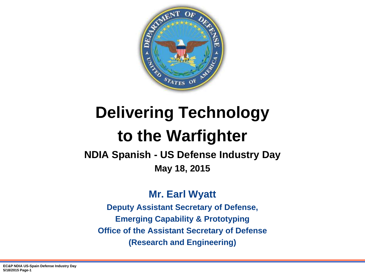

# **Delivering Technology to the Warfighter**

**NDIA Spanish - US Defense Industry Day May 18, 2015**

**Mr. Earl Wyatt**

**Deputy Assistant Secretary of Defense, Emerging Capability & Prototyping Office of the Assistant Secretary of Defense (Research and Engineering)**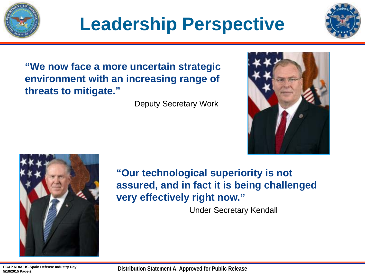

# **Leadership Perspective**



**"We now face a more uncertain strategic environment with an increasing range of threats to mitigate."**

Deputy Secretary Work





**"Our technological superiority is not assured, and in fact it is being challenged very effectively right now."**

Under Secretary Kendall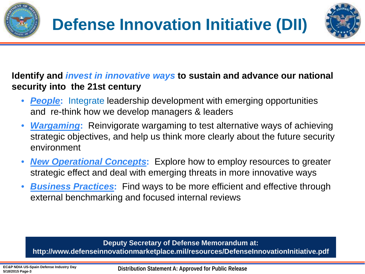



### **Identify and** *invest in innovative ways* **to sustain and advance our national security into the 21st century**

- *People***:** Integrate leadership development with emerging opportunities and re-think how we develop managers & leaders
- *Wargaming***:** Reinvigorate wargaming to test alternative ways of achieving strategic objectives, and help us think more clearly about the future security environment
- *New Operational Concepts***:** Explore how to employ resources to greater strategic effect and deal with emerging threats in more innovative ways
- *Business Practices***:** Find ways to be more efficient and effective through external benchmarking and focused internal reviews

**Deputy Secretary of Defense Memorandum at: http://www.defenseinnovationmarketplace.mil/resources/DefenseInnovationInitiative.pdf**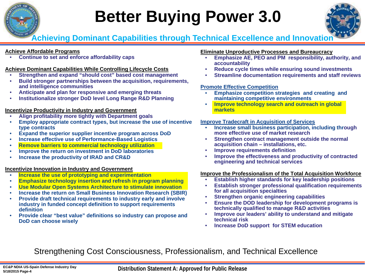

# **Better Buying Power 3.0**



**Achieving Dominant Capabilities through Technical Excellence and Innovation**

#### **Achieve Affordable Programs**

• **Continue to set and enforce affordability caps**

#### **Achieve Dominant Capabilities While Controlling Lifecycle Costs**

- **Strengthen and expand "should cost" based cost management**
- **Build stronger partnerships between the acquisition, requirements, and intelligence communities**
- **Anticipate and plan for responsive and emerging threats**
- **Institutionalize stronger DoD level Long Range R&D Planning**

#### **Incentivize Productivity in Industry and Government**

- **Align profitability more tightly with Department goals**
- **Employ appropriate contract types, but increase the use of incentive type contracts**
- **Expand the superior supplier incentive program across DoD**
- **Increase effective use of Performance-Based Logistics**
- **Remove barriers to commercial technology utilization**
- **Improve the return on investment in DoD laboratories**
- **Increase the productivity of IRAD and CR&D**

#### **Incentivize Innovation in Industry and Government**

- **Increase the use of prototyping and experimentation**
- **Emphasize technology insertion and refresh in program planning**
- **Use Modular Open Systems Architecture to stimulate innovation**
- **Increase the return on Small Business Innovation Research (SBIR)**
- **Provide draft technical requirements to industry early and involve industry in funded concept definition to support requirements definition**
- **Provide clear "best value" definitions so industry can propose and DoD can choose wisely**

#### **Eliminate Unproductive Processes and Bureaucracy**

- **Emphasize AE, PEO and PM responsibility, authority, and accountability**
- **Reduce cycle times while ensuring sound investments**
- **Streamline documentation requirements and staff reviews**

#### **Promote Effective Competition**

- **Emphasize competition strategies and creating and maintaining competitive environments**
- **Improve technology search and outreach in global markets**

#### **Improve Tradecraft in Acquisition of Services**

- **Increase small business participation, including through more effective use of market research**
- **Strengthen contract management outside the normal acquisition chain – installations, etc.**
- **Improve requirements definition**
- **Improve the effectiveness and productivity of contracted engineering and technical services**

#### **Improve the Professionalism of the Total Acquisition Workforce**

- **Establish higher standards for key leadership positions**
- **Establish stronger professional qualification requirements for all acquisition specialties**
- **Strengthen organic engineering capabilities**
- **Ensure the DOD leadership for development programs is technically qualified to manage R&D activities**
- **Improve our leaders' ability to understand and mitigate technical risk**
- **Increase DoD support for STEM education**

Strengthening Cost Consciousness, Professionalism, and Technical Excellence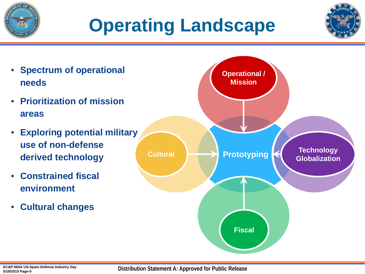# **Operating Landscape**





**Distribution Statement A: Approved for Public Release**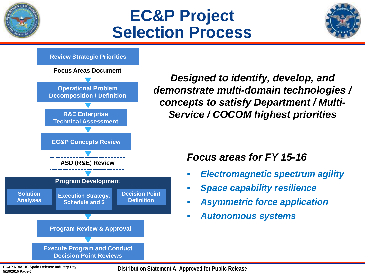

## **EC&P Project Selection Process**





*Designed to identify, develop, and demonstrate multi-domain technologies / concepts to satisfy Department / Multi-Service / COCOM highest priorities* 

### *Focus areas for FY 15-16*

- *Electromagnetic spectrum agility*
- *Space capability resilience*
- *Asymmetric force application*
- *Autonomous systems*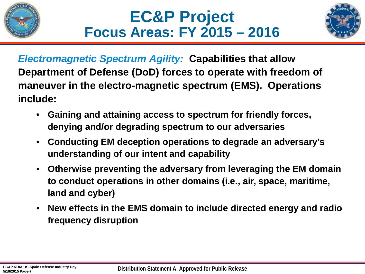





*Electromagnetic Spectrum Agility:* **Capabilities that allow Department of Defense (DoD) forces to operate with freedom of maneuver in the electro-magnetic spectrum (EMS). Operations include:**

- **Gaining and attaining access to spectrum for friendly forces, denying and/or degrading spectrum to our adversaries**
- **Conducting EM deception operations to degrade an adversary's understanding of our intent and capability**
- **Otherwise preventing the adversary from leveraging the EM domain to conduct operations in other domains (i.e., air, space, maritime, land and cyber)**
- **New effects in the EMS domain to include directed energy and radio frequency disruption**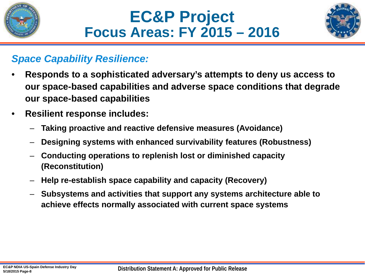





### *Space Capability Resilience:*

- **Responds to a sophisticated adversary's attempts to deny us access to our space-based capabilities and adverse space conditions that degrade our space-based capabilities**
- **Resilient response includes:**
	- **Taking proactive and reactive defensive measures (Avoidance)**
	- **Designing systems with enhanced survivability features (Robustness)**
	- **Conducting operations to replenish lost or diminished capacity (Reconstitution)**
	- **Help re-establish space capability and capacity (Recovery)**
	- **Subsystems and activities that support any systems architecture able to achieve effects normally associated with current space systems**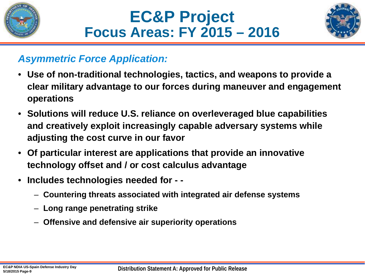





## *Asymmetric Force Application:*

- **Use of non-traditional technologies, tactics, and weapons to provide a clear military advantage to our forces during maneuver and engagement operations**
- **Solutions will reduce U.S. reliance on overleveraged blue capabilities and creatively exploit increasingly capable adversary systems while adjusting the cost curve in our favor**
- **Of particular interest are applications that provide an innovative technology offset and / or cost calculus advantage**
- **Includes technologies needed for - -**
	- **Countering threats associated with integrated air defense systems**
	- **Long range penetrating strike**
	- **Offensive and defensive air superiority operations**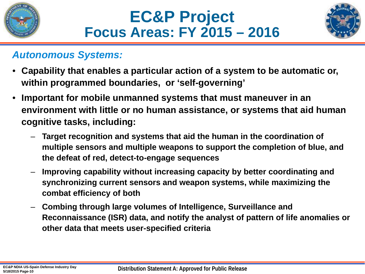





### *Autonomous Systems:*

- **Capability that enables a particular action of a system to be automatic or, within programmed boundaries, or 'self-governing'**
- **Important for mobile unmanned systems that must maneuver in an environment with little or no human assistance, or systems that aid human cognitive tasks, including:**
	- **Target recognition and systems that aid the human in the coordination of multiple sensors and multiple weapons to support the completion of blue, and the defeat of red, detect-to-engage sequences**
	- **Improving capability without increasing capacity by better coordinating and synchronizing current sensors and weapon systems, while maximizing the combat efficiency of both**
	- **Combing through large volumes of Intelligence, Surveillance and Reconnaissance (ISR) data, and notify the analyst of pattern of life anomalies or other data that meets user-specified criteria**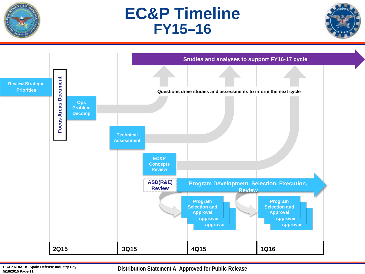

## **EC&P Timeline FY15–16**





**Distribution Statement A: Approved for Public Release**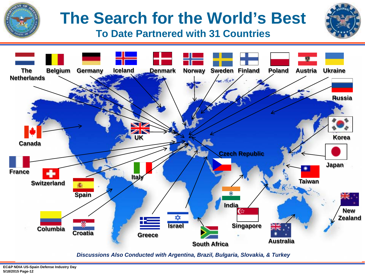

# **The Search for the World's Best**

**To Date Partnered with 31 Countries**



*Discussions Also Conducted with Argentina, Brazil, Bulgaria, Slovakia, & Turkey*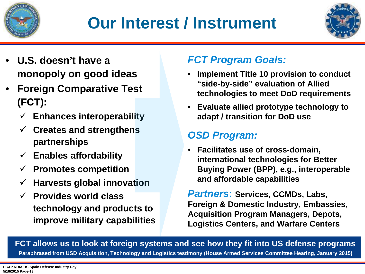

## **Our Interest / Instrument**



- **U.S. doesn't have a monopoly on good ideas**
- **Foreign Comparative Test (FCT):** 
	- **Enhances interoperability**
	- **Creates and strengthens partnerships**
	- **Enables affordability**
	- **Promotes competition**
	- **Harvests global innovation**
	- **Provides world class technology and products to improve military capabilities**

## *FCT Program Goals:*

- **Implement Title 10 provision to conduct "side-by-side" evaluation of Allied technologies to meet DoD requirements**
- **Evaluate allied prototype technology to adapt / transition for DoD use**

## *OSD Program:*

• **Facilitates use of cross-domain, international technologies for Better Buying Power (BPP), e.g., interoperable and affordable capabilities** 

*Partners***: Services, CCMDs, Labs, Foreign & Domestic Industry, Embassies, Acquisition Program Managers, Depots, Logistics Centers, and Warfare Centers**

**FCT allows us to look at foreign systems and see how they fit into US defense programs Paraphrased from USD Acquisition, Technology and Logistics testimony (House Armed Services Committee Hearing, January 2015)**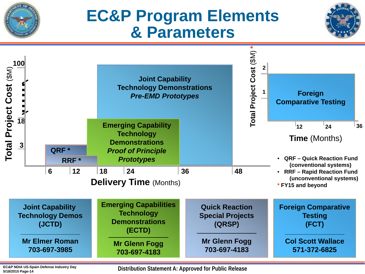

## **EC&P Program Elements & Parameters**





**EC&P NDIA US-Spain Defense Industry Day 5/18/2015 Page-14**

**Distribution Statement A: Approved for Public Release**